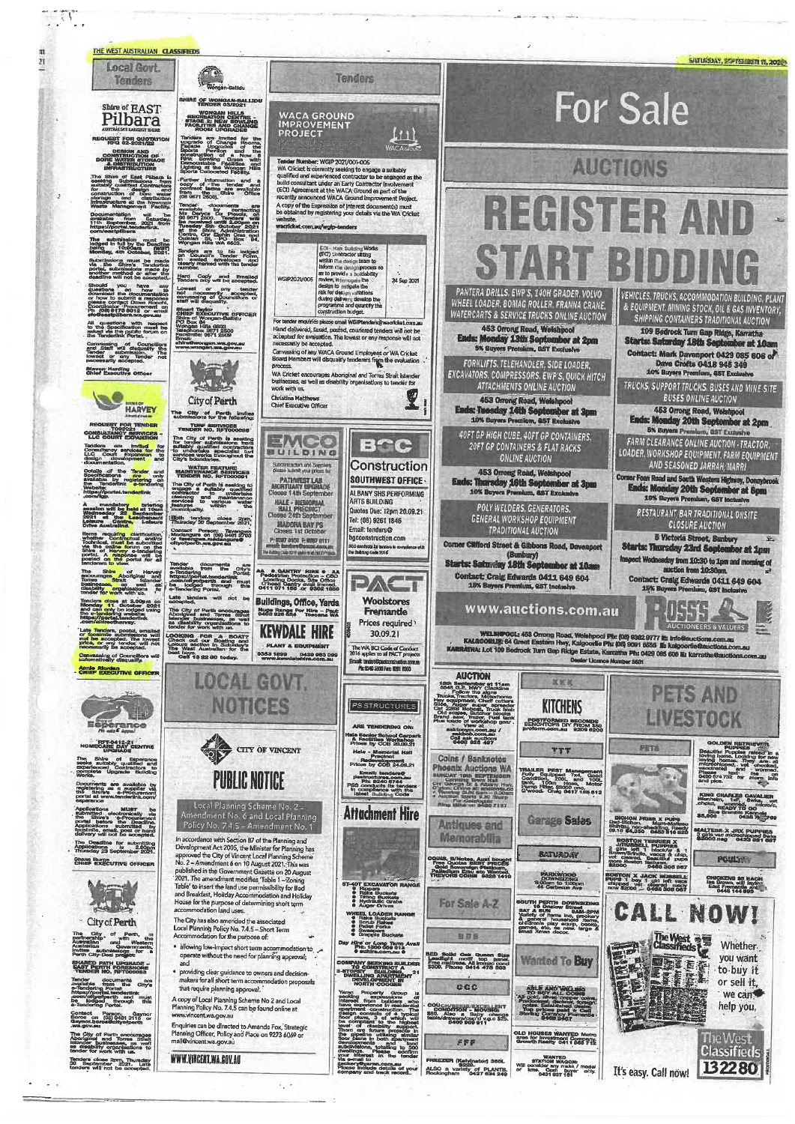